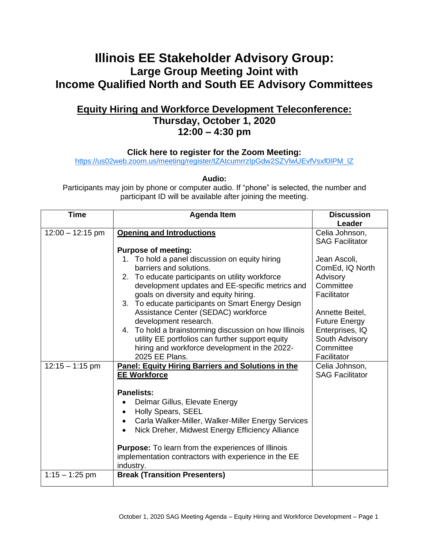## **Illinois EE Stakeholder Advisory Group: Large Group Meeting Joint with Income Qualified North and South EE Advisory Committees**

## **Equity Hiring and Workforce Development Teleconference: Thursday, October 1, 2020 12:00 – 4:30 pm**

**Click here to register for the Zoom Meeting:** 

[https://us02web.zoom.us/meeting/register/tZAtcumrrzIpGdw2SZVlwUEvfVsxf0IPM\\_lZ](https://us02web.zoom.us/meeting/register/tZAtcumrrzIpGdw2SZVlwUEvfVsxf0IPM_lZ)

**Audio:**

Participants may join by phone or computer audio. If "phone" is selected, the number and participant ID will be available after joining the meeting.

| <b>Time</b>        | <b>Agenda Item</b>                                                                                                                                                                                                                                                                                                                                                                               | <b>Discussion</b><br>Leader                                                                              |
|--------------------|--------------------------------------------------------------------------------------------------------------------------------------------------------------------------------------------------------------------------------------------------------------------------------------------------------------------------------------------------------------------------------------------------|----------------------------------------------------------------------------------------------------------|
| $12:00 - 12:15$ pm | <b>Opening and Introductions</b><br><b>Purpose of meeting:</b>                                                                                                                                                                                                                                                                                                                                   | Celia Johnson,<br><b>SAG Facilitator</b>                                                                 |
|                    | 1. To hold a panel discussion on equity hiring<br>barriers and solutions.<br>2. To educate participants on utility workforce<br>development updates and EE-specific metrics and<br>goals on diversity and equity hiring.<br>3. To educate participants on Smart Energy Design                                                                                                                    | Jean Ascoli,<br>ComEd, IQ North<br>Advisory<br>Committee<br>Facilitator                                  |
|                    | Assistance Center (SEDAC) workforce<br>development research.<br>4. To hold a brainstorming discussion on how Illinois<br>utility EE portfolios can further support equity<br>hiring and workforce development in the 2022-<br>2025 EE Plans.                                                                                                                                                     | Annette Beitel,<br><b>Future Energy</b><br>Enterprises, IQ<br>South Advisory<br>Committee<br>Facilitator |
| $12:15 - 1:15$ pm  | Panel: Equity Hiring Barriers and Solutions in the<br><b>EE Workforce</b><br><b>Panelists:</b><br>Delmar Gillus, Elevate Energy<br>Holly Spears, SEEL<br>Carla Walker-Miller, Walker-Miller Energy Services<br>Nick Dreher, Midwest Energy Efficiency Alliance<br><b>Purpose:</b> To learn from the experiences of Illinois<br>implementation contractors with experience in the EE<br>industry. | Celia Johnson,<br><b>SAG Facilitator</b>                                                                 |
| $1:15 - 1:25$ pm   | <b>Break (Transition Presenters)</b>                                                                                                                                                                                                                                                                                                                                                             |                                                                                                          |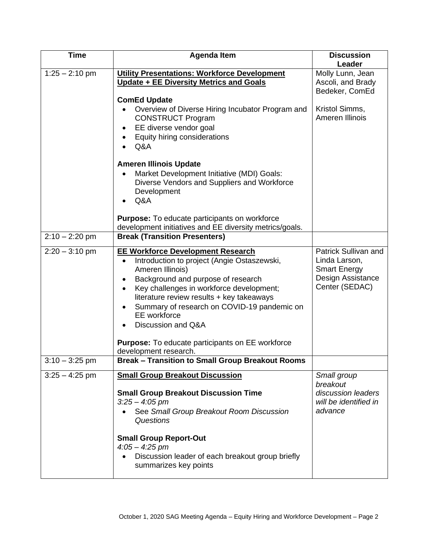| <b>Time</b>      | <b>Agenda Item</b>                                                                                                                                                                                                                                                                                                                                                                                                       | <b>Discussion</b><br>Leader                                                                         |
|------------------|--------------------------------------------------------------------------------------------------------------------------------------------------------------------------------------------------------------------------------------------------------------------------------------------------------------------------------------------------------------------------------------------------------------------------|-----------------------------------------------------------------------------------------------------|
| $1:25 - 2:10$ pm | <b>Utility Presentations: Workforce Development</b><br>Update + EE Diversity Metrics and Goals<br><b>ComEd Update</b>                                                                                                                                                                                                                                                                                                    | Molly Lunn, Jean<br>Ascoli, and Brady<br>Bedeker, ComEd                                             |
|                  | Overview of Diverse Hiring Incubator Program and<br><b>CONSTRUCT Program</b><br>EE diverse vendor goal<br>Equity hiring considerations<br>Q&A                                                                                                                                                                                                                                                                            | Kristol Simms,<br>Ameren Illinois                                                                   |
|                  | <b>Ameren Illinois Update</b><br>Market Development Initiative (MDI) Goals:<br>Diverse Vendors and Suppliers and Workforce<br>Development<br>Q&A                                                                                                                                                                                                                                                                         |                                                                                                     |
|                  | <b>Purpose:</b> To educate participants on workforce<br>development initiatives and EE diversity metrics/goals.                                                                                                                                                                                                                                                                                                          |                                                                                                     |
| $2:10 - 2:20$ pm | <b>Break (Transition Presenters)</b>                                                                                                                                                                                                                                                                                                                                                                                     |                                                                                                     |
| $2:20 - 3:10$ pm | <b>EE Workforce Development Research</b><br>Introduction to project (Angie Ostaszewski,<br>٠<br>Ameren Illinois)<br>Background and purpose of research<br>Key challenges in workforce development;<br>literature review results + key takeaways<br>Summary of research on COVID-19 pandemic on<br>EE workforce<br>Discussion and Q&A<br><b>Purpose:</b> To educate participants on EE workforce<br>development research. | Patrick Sullivan and<br>Linda Larson,<br><b>Smart Energy</b><br>Design Assistance<br>Center (SEDAC) |
| $3:10 - 3:25$ pm | <b>Break - Transition to Small Group Breakout Rooms</b>                                                                                                                                                                                                                                                                                                                                                                  |                                                                                                     |
| $3:25 - 4:25$ pm | <b>Small Group Breakout Discussion</b><br><b>Small Group Breakout Discussion Time</b><br>$3:25 - 4:05$ pm<br>See Small Group Breakout Room Discussion<br>Questions<br><b>Small Group Report-Out</b><br>$4:05 - 4:25$ pm<br>Discussion leader of each breakout group briefly<br>summarizes key points                                                                                                                     | Small group<br>breakout<br>discussion leaders<br>will be identified in<br>advance                   |